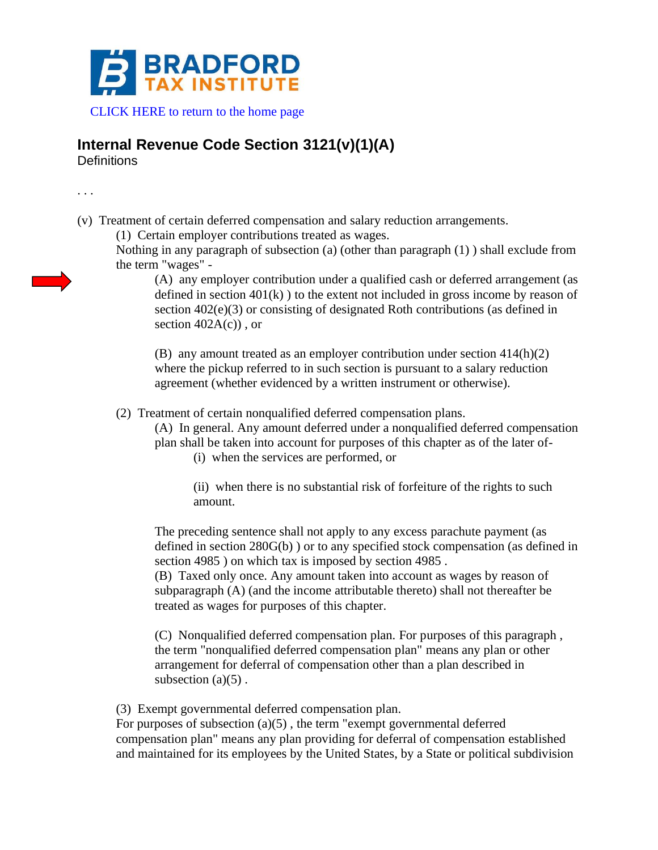

[CLICK HERE to return to the home page](http://www.bradfordtaxinstitute.com)

## **Internal Revenue Code Section 3121(v)(1)(A)**

**Definitions** 

. . .

(v) Treatment of certain deferred compensation and salary reduction arrangements.

(1) Certain employer contributions treated as wages.

Nothing in any paragraph of subsection (a) (other than paragraph (1) ) shall exclude from the term "wages" -

(A) any employer contribution under a qualified cash or deferred arrangement (as defined in section  $401(k)$ ) to the extent not included in gross income by reason of section 402(e)(3) or consisting of designated Roth contributions (as defined in section  $402A(c)$ , or

(B) any amount treated as an employer contribution under section 414(h)(2) where the pickup referred to in such section is pursuant to a salary reduction agreement (whether evidenced by a written instrument or otherwise).

(2) Treatment of certain nonqualified deferred compensation plans.

(A) In general. Any amount deferred under a nonqualified deferred compensation plan shall be taken into account for purposes of this chapter as of the later of-

(i) when the services are performed, or

(ii) when there is no substantial risk of forfeiture of the rights to such amount.

The preceding sentence shall not apply to any excess parachute payment (as defined in section 280G(b) ) or to any specified stock compensation (as defined in section 4985 ) on which tax is imposed by section 4985 .

(B) Taxed only once. Any amount taken into account as wages by reason of subparagraph (A) (and the income attributable thereto) shall not thereafter be treated as wages for purposes of this chapter.

(C) Nonqualified deferred compensation plan. For purposes of this paragraph , the term "nonqualified deferred compensation plan" means any plan or other arrangement for deferral of compensation other than a plan described in subsection  $(a)(5)$ .

(3) Exempt governmental deferred compensation plan.

For purposes of subsection  $(a)(5)$ , the term "exempt governmental deferred compensation plan" means any plan providing for deferral of compensation established and maintained for its employees by the United States, by a State or political subdivision